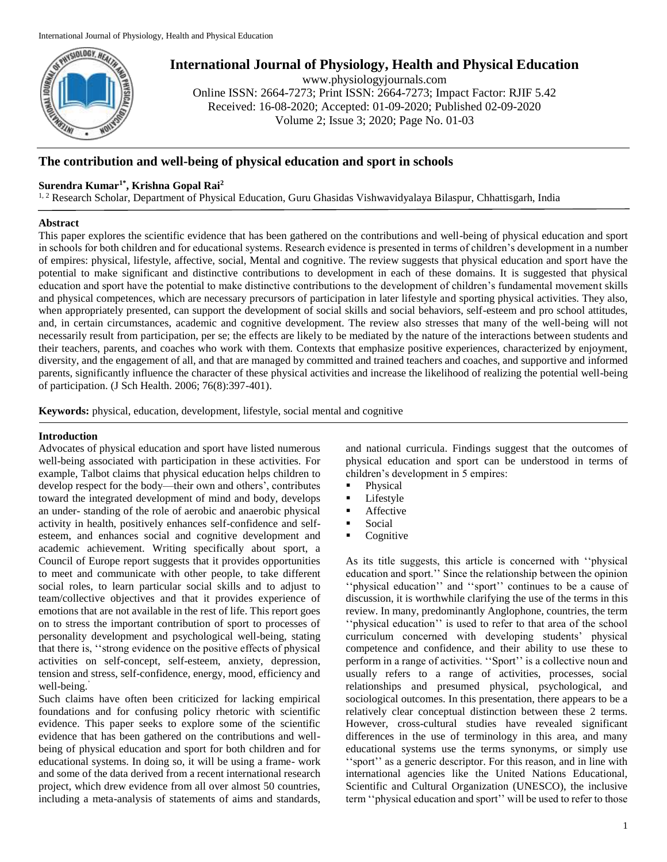

# **International Journal of Physiology, Health and Physical Education**

www.physiologyjournals.com Online ISSN: 2664-7273; Print ISSN: 2664-7273; Impact Factor: RJIF 5.42 Received: 16-08-2020; Accepted: 01-09-2020; Published 02-09-2020 Volume 2; Issue 3; 2020; Page No. 01-03

## **The contribution and well-being of physical education and sport in schools**

## **Surendra Kumar1\* , Krishna Gopal Rai<sup>2</sup>**

<sup>1, 2</sup> Research Scholar, Department of Physical Education, Guru Ghasidas Vishwavidyalaya Bilaspur, Chhattisgarh, India

## **Abstract**

This paper explores the scientific evidence that has been gathered on the contributions and well-being of physical education and sport in schools for both children and for educational systems. Research evidence is presented in terms of children's development in a number of empires: physical, lifestyle, affective, social, Mental and cognitive. The review suggests that physical education and sport have the potential to make significant and distinctive contributions to development in each of these domains. It is suggested that physical education and sport have the potential to make distinctive contributions to the development of children's fundamental movement skills and physical competences, which are necessary precursors of participation in later lifestyle and sporting physical activities. They also, when appropriately presented, can support the development of social skills and social behaviors, self-esteem and pro school attitudes, and, in certain circumstances, academic and cognitive development. The review also stresses that many of the well-being will not necessarily result from participation, per se; the effects are likely to be mediated by the nature of the interactions between students and their teachers, parents, and coaches who work with them. Contexts that emphasize positive experiences, characterized by enjoyment, diversity, and the engagement of all, and that are managed by committed and trained teachers and coaches, and supportive and informed parents, significantly influence the character of these physical activities and increase the likelihood of realizing the potential well-being of participation. (J Sch Health. 2006; 76(8):397-401).

**Keywords:** physical, education, development, lifestyle, social mental and cognitive

## **Introduction**

Advocates of physical education and sport have listed numerous well-being associated with participation in these activities. For example, Talbot claims that physical education helps children to develop respect for the body—their own and others', contributes toward the integrated development of mind and body, develops an under- standing of the role of aerobic and anaerobic physical activity in health, positively enhances self-confidence and selfesteem, and enhances social and cognitive development and academic achievement. Writing specifically about sport, a Council of Europe report suggests that it provides opportunities to meet and communicate with other people, to take different social roles, to learn particular social skills and to adjust to team/collective objectives and that it provides experience of emotions that are not available in the rest of life. This report goes on to stress the important contribution of sport to processes of personality development and psychological well-being, stating that there is, ''strong evidence on the positive effects of physical activities on self-concept, self-esteem, anxiety, depression, tension and stress, self-confidence, energy, mood, efficiency and well-being.'

Such claims have often been criticized for lacking empirical foundations and for confusing policy rhetoric with scientific evidence. This paper seeks to explore some of the scientific evidence that has been gathered on the contributions and wellbeing of physical education and sport for both children and for educational systems. In doing so, it will be using a frame- work and some of the data derived from a recent international research project, which drew evidence from all over almost 50 countries, including a meta-analysis of statements of aims and standards,

and national curricula. Findings suggest that the outcomes of physical education and sport can be understood in terms of children's development in 5 empires:

- Physical
- **Lifestyle**
- **Affective**
- Social
- $\blacksquare$  Cognitive

As its title suggests, this article is concerned with ''physical education and sport.'' Since the relationship between the opinion ''physical education'' and ''sport'' continues to be a cause of discussion, it is worthwhile clarifying the use of the terms in this review. In many, predominantly Anglophone, countries, the term ''physical education'' is used to refer to that area of the school curriculum concerned with developing students' physical competence and confidence, and their ability to use these to perform in a range of activities. ''Sport'' is a collective noun and usually refers to a range of activities, processes, social relationships and presumed physical, psychological, and sociological outcomes. In this presentation, there appears to be a relatively clear conceptual distinction between these 2 terms. However, cross-cultural studies have revealed significant differences in the use of terminology in this area, and many educational systems use the terms synonyms, or simply use ''sport'' as a generic descriptor. For this reason, and in line with international agencies like the United Nations Educational, Scientific and Cultural Organization (UNESCO), the inclusive term ''physical education and sport'' will be used to refer to those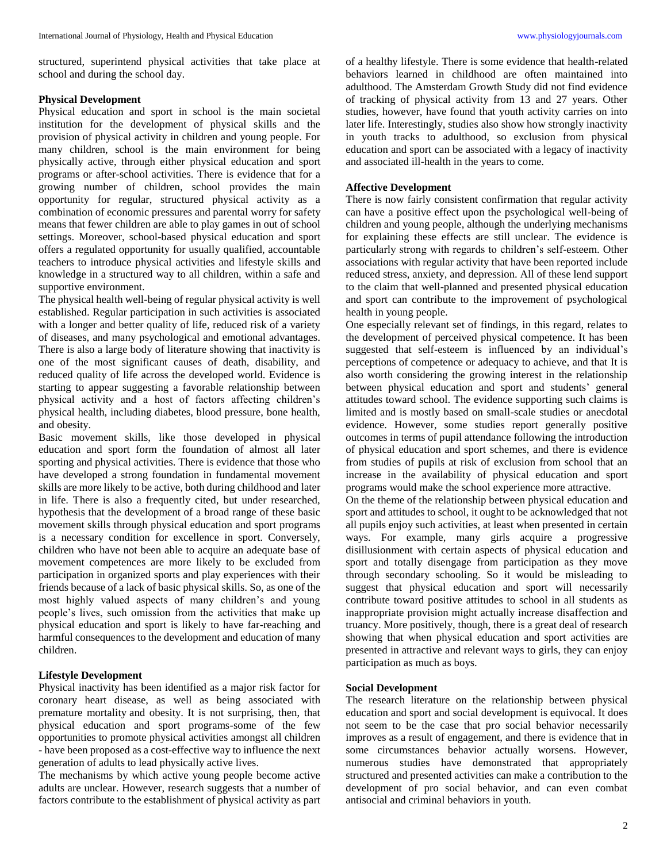structured, superintend physical activities that take place at school and during the school day.

#### **Physical Development**

Physical education and sport in school is the main societal institution for the development of physical skills and the provision of physical activity in children and young people. For many children, school is the main environment for being physically active, through either physical education and sport programs or after-school activities. There is evidence that for a growing number of children, school provides the main opportunity for regular, structured physical activity as a combination of economic pressures and parental worry for safety means that fewer children are able to play games in out of school settings. Moreover, school-based physical education and sport offers a regulated opportunity for usually qualified, accountable teachers to introduce physical activities and lifestyle skills and knowledge in a structured way to all children, within a safe and supportive environment.

The physical health well-being of regular physical activity is well established. Regular participation in such activities is associated with a longer and better quality of life, reduced risk of a variety of diseases, and many psychological and emotional advantages. There is also a large body of literature showing that inactivity is one of the most significant causes of death, disability, and reduced quality of life across the developed world. Evidence is starting to appear suggesting a favorable relationship between physical activity and a host of factors affecting children's physical health, including diabetes, blood pressure, bone health, and obesity.

Basic movement skills, like those developed in physical education and sport form the foundation of almost all later sporting and physical activities. There is evidence that those who have developed a strong foundation in fundamental movement skills are more likely to be active, both during childhood and later in life. There is also a frequently cited, but under researched, hypothesis that the development of a broad range of these basic movement skills through physical education and sport programs is a necessary condition for excellence in sport. Conversely, children who have not been able to acquire an adequate base of movement competences are more likely to be excluded from participation in organized sports and play experiences with their friends because of a lack of basic physical skills. So, as one of the most highly valued aspects of many children's and young people's lives, such omission from the activities that make up physical education and sport is likely to have far-reaching and harmful consequences to the development and education of many children.

#### **Lifestyle Development**

Physical inactivity has been identified as a major risk factor for coronary heart disease, as well as being associated with premature mortality and obesity. It is not surprising, then, that physical education and sport programs-some of the few opportunities to promote physical activities amongst all children - have been proposed as a cost-effective way to influence the next generation of adults to lead physically active lives.

The mechanisms by which active young people become active adults are unclear. However, research suggests that a number of factors contribute to the establishment of physical activity as part of a healthy lifestyle. There is some evidence that health-related behaviors learned in childhood are often maintained into adulthood. The Amsterdam Growth Study did not find evidence of tracking of physical activity from 13 and 27 years. Other studies, however, have found that youth activity carries on into later life. Interestingly, studies also show how strongly inactivity in youth tracks to adulthood, so exclusion from physical education and sport can be associated with a legacy of inactivity and associated ill-health in the years to come.

#### **Affective Development**

There is now fairly consistent confirmation that regular activity can have a positive effect upon the psychological well-being of children and young people, although the underlying mechanisms for explaining these effects are still unclear. The evidence is particularly strong with regards to children's self-esteem. Other associations with regular activity that have been reported include reduced stress, anxiety, and depression. All of these lend support to the claim that well-planned and presented physical education and sport can contribute to the improvement of psychological health in young people.

One especially relevant set of findings, in this regard, relates to the development of perceived physical competence. It has been suggested that self-esteem is influenced by an individual's perceptions of competence or adequacy to achieve, and that It is also worth considering the growing interest in the relationship between physical education and sport and students' general attitudes toward school. The evidence supporting such claims is limited and is mostly based on small-scale studies or anecdotal evidence. However, some studies report generally positive outcomes in terms of pupil attendance following the introduction of physical education and sport schemes, and there is evidence from studies of pupils at risk of exclusion from school that an increase in the availability of physical education and sport programs would make the school experience more attractive.

On the theme of the relationship between physical education and sport and attitudes to school, it ought to be acknowledged that not all pupils enjoy such activities, at least when presented in certain ways. For example, many girls acquire a progressive disillusionment with certain aspects of physical education and sport and totally disengage from participation as they move through secondary schooling. So it would be misleading to suggest that physical education and sport will necessarily contribute toward positive attitudes to school in all students as inappropriate provision might actually increase disaffection and truancy. More positively, though, there is a great deal of research showing that when physical education and sport activities are presented in attractive and relevant ways to girls, they can enjoy participation as much as boys.

#### **Social Development**

The research literature on the relationship between physical education and sport and social development is equivocal. It does not seem to be the case that pro social behavior necessarily improves as a result of engagement, and there is evidence that in some circumstances behavior actually worsens. However, numerous studies have demonstrated that appropriately structured and presented activities can make a contribution to the development of pro social behavior, and can even combat antisocial and criminal behaviors in youth.